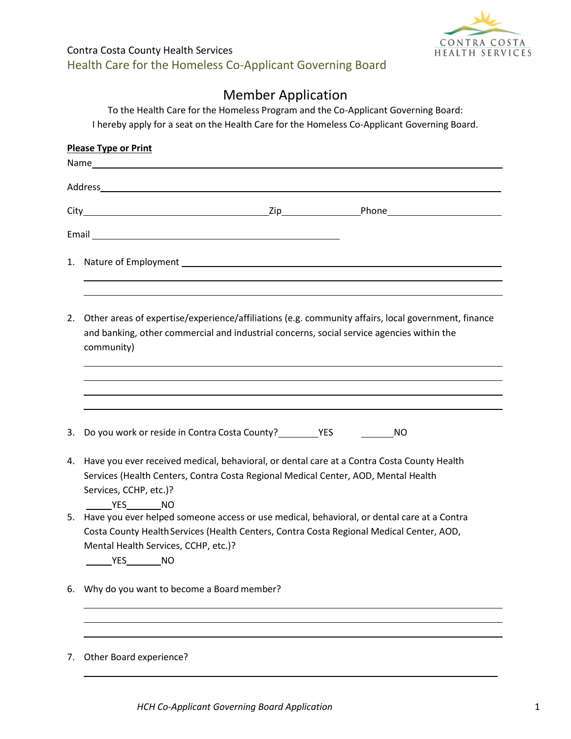

## Contra Costa County Health Services Health Care for the Homeless Co-Applicant Governing Board

## Member Application

To the Health Care for the Homeless Program and the Co-Applicant Governing Board: I hereby apply for a seat on the Health Care for the Homeless Co-Applicant Governing Board.

|    | <b>Please Type or Print</b>                                                                                                                                                                                                                                   |
|----|---------------------------------------------------------------------------------------------------------------------------------------------------------------------------------------------------------------------------------------------------------------|
|    |                                                                                                                                                                                                                                                               |
|    | Address and the contract of the contract of the contract of the contract of the contract of the contract of the                                                                                                                                               |
|    |                                                                                                                                                                                                                                                               |
|    |                                                                                                                                                                                                                                                               |
|    | 1. Nature of Employment contract the contract of the contract of the contract of the contract of the contract of the contract of the contract of the contract of the contract of the contract of the contract of the contract                                 |
|    | 2. Other areas of expertise/experience/affiliations (e.g. community affairs, local government, finance<br>and banking, other commercial and industrial concerns, social service agencies within the<br>community)                                             |
| 3. |                                                                                                                                                                                                                                                               |
| 4. | Have you ever received medical, behavioral, or dental care at a Contra Costa County Health<br>Services (Health Centers, Contra Costa Regional Medical Center, AOD, Mental Health<br>Services, CCHP, etc.)?<br><b>THES</b> NO                                  |
|    | 5. Have you ever helped someone access or use medical, behavioral, or dental care at a Contra<br>Costa County Health Services (Health Centers, Contra Costa Regional Medical Center, AOD,<br>Mental Health Services, CCHP, etc.)?<br>______________________NO |
| 6. | Why do you want to become a Board member?                                                                                                                                                                                                                     |
| 7. | Other Board experience?                                                                                                                                                                                                                                       |